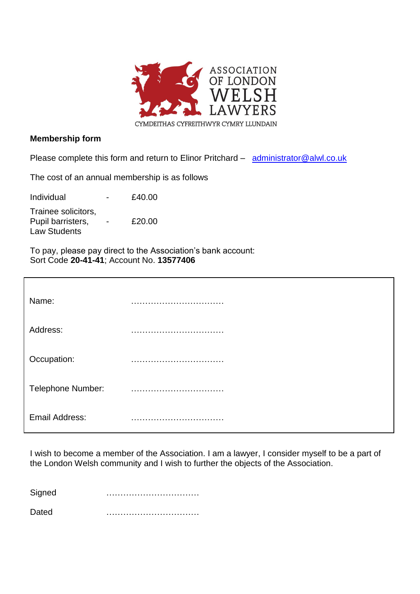

## **Membership form**

Please complete this form and return to Elinor Pritchard – [administrator@alwl.co.uk](mailto:administrator@alwl.co.uk)

The cost of an annual membership is as follows

| Individual                                                      | $\overline{\phantom{0}}$ | £40.00 |
|-----------------------------------------------------------------|--------------------------|--------|
| Trainee solicitors,<br>Pupil barristers,<br><b>Law Students</b> |                          | £20.00 |

To pay, please pay direct to the Association's bank account: Sort Code **20-41-41**; Account No. **13577406**

| Name:                    |               |
|--------------------------|---------------|
| Address:                 |               |
| Occupation:              |               |
| <b>Telephone Number:</b> | $\cdots$<br>. |
| <b>Email Address:</b>    |               |

I wish to become a member of the Association. I am a lawyer, I consider myself to be a part of the London Welsh community and I wish to further the objects of the Association. ……………………

Signed ……………………………

Dated …………………………… [ ]Individual [ ]Corporate [ ]Associate Member [ ] Trainee Solicitor /